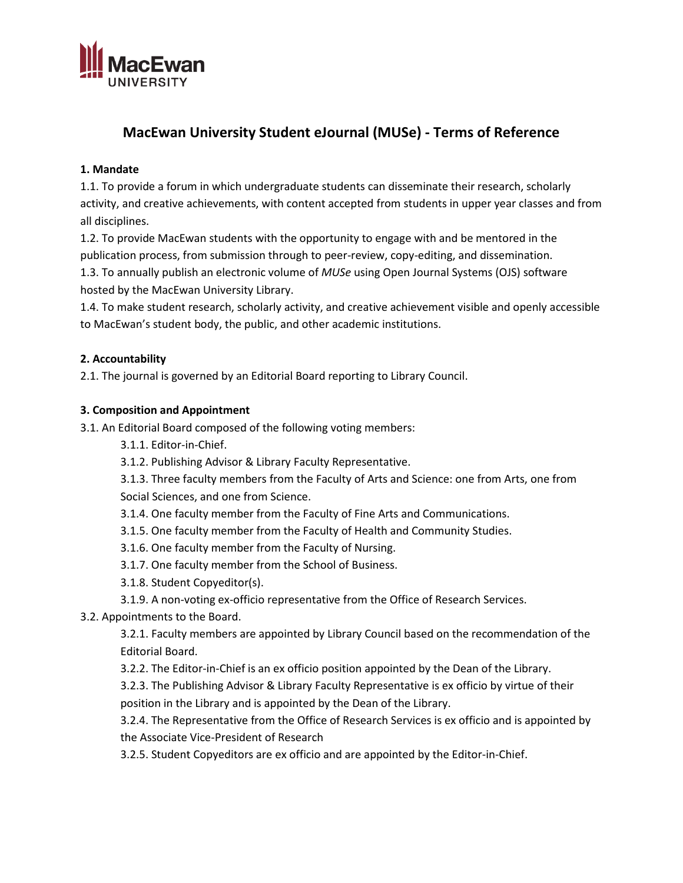

# **MacEwan University Student eJournal (MUSe) - Terms of Reference**

#### **1. Mandate**

1.1. To provide a forum in which undergraduate students can disseminate their research, scholarly activity, and creative achievements, with content accepted from students in upper year classes and from all disciplines.

1.2. To provide MacEwan students with the opportunity to engage with and be mentored in the publication process, from submission through to peer-review, copy-editing, and dissemination. 1.3. To annually publish an electronic volume of *MUSe* using Open Journal Systems (OJS) software hosted by the MacEwan University Library.

1.4. To make student research, scholarly activity, and creative achievement visible and openly accessible to MacEwan's student body, the public, and other academic institutions.

#### **2. Accountability**

2.1. The journal is governed by an Editorial Board reporting to Library Council.

#### **3. Composition and Appointment**

3.1. An Editorial Board composed of the following voting members:

3.1.1. Editor-in-Chief.

3.1.2. Publishing Advisor & Library Faculty Representative.

3.1.3. Three faculty members from the Faculty of Arts and Science: one from Arts, one from Social Sciences, and one from Science.

3.1.4. One faculty member from the Faculty of Fine Arts and Communications.

- 3.1.5. One faculty member from the Faculty of Health and Community Studies.
- 3.1.6. One faculty member from the Faculty of Nursing.

3.1.7. One faculty member from the School of Business.

- 3.1.8. Student Copyeditor(s).
- 3.1.9. A non-voting ex-officio representative from the Office of Research Services.

3.2. Appointments to the Board.

3.2.1. Faculty members are appointed by Library Council based on the recommendation of the Editorial Board.

3.2.2. The Editor-in-Chief is an ex officio position appointed by the Dean of the Library.

3.2.3. The Publishing Advisor & Library Faculty Representative is ex officio by virtue of their position in the Library and is appointed by the Dean of the Library.

3.2.4. The Representative from the Office of Research Services is ex officio and is appointed by the Associate Vice-President of Research

3.2.5. Student Copyeditors are ex officio and are appointed by the Editor-in-Chief.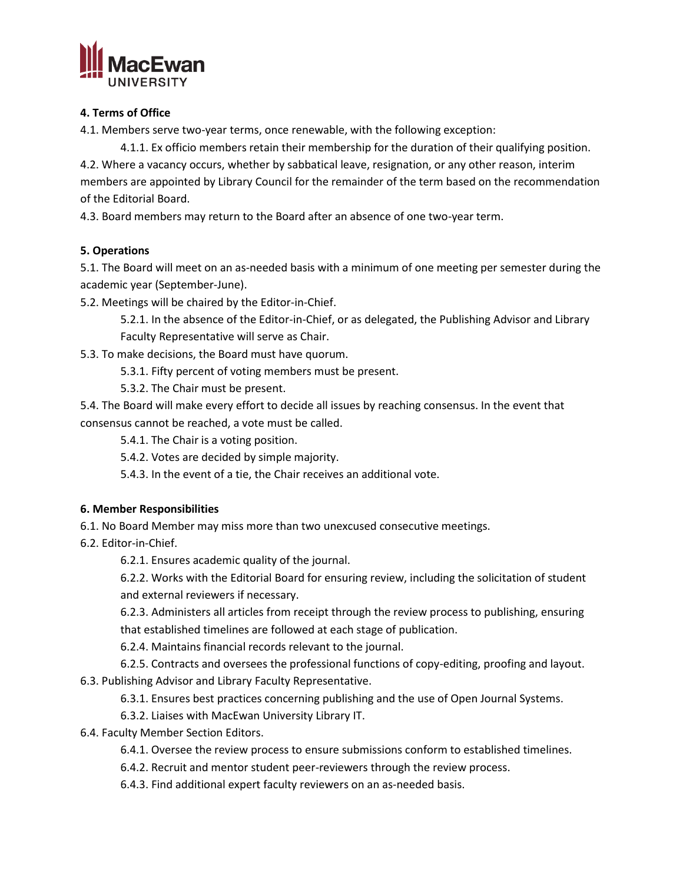

#### **4. Terms of Office**

4.1. Members serve two-year terms, once renewable, with the following exception:

4.1.1. Ex officio members retain their membership for the duration of their qualifying position. 4.2. Where a vacancy occurs, whether by sabbatical leave, resignation, or any other reason, interim members are appointed by Library Council for the remainder of the term based on the recommendation of the Editorial Board.

4.3. Board members may return to the Board after an absence of one two-year term.

## **5. Operations**

5.1. The Board will meet on an as-needed basis with a minimum of one meeting per semester during the academic year (September-June).

5.2. Meetings will be chaired by the Editor-in-Chief.

5.2.1. In the absence of the Editor-in-Chief, or as delegated, the Publishing Advisor and Library Faculty Representative will serve as Chair.

5.3. To make decisions, the Board must have quorum.

5.3.1. Fifty percent of voting members must be present.

5.3.2. The Chair must be present.

5.4. The Board will make every effort to decide all issues by reaching consensus. In the event that consensus cannot be reached, a vote must be called.

5.4.1. The Chair is a voting position.

5.4.2. Votes are decided by simple majority.

5.4.3. In the event of a tie, the Chair receives an additional vote.

## **6. Member Responsibilities**

6.1. No Board Member may miss more than two unexcused consecutive meetings.

6.2. Editor-in-Chief.

6.2.1. Ensures academic quality of the journal.

6.2.2. Works with the Editorial Board for ensuring review, including the solicitation of student and external reviewers if necessary.

6.2.3. Administers all articles from receipt through the review process to publishing, ensuring that established timelines are followed at each stage of publication.

6.2.4. Maintains financial records relevant to the journal.

6.2.5. Contracts and oversees the professional functions of copy-editing, proofing and layout. 6.3. Publishing Advisor and Library Faculty Representative.

6.3.1. Ensures best practices concerning publishing and the use of Open Journal Systems.

6.3.2. Liaises with MacEwan University Library IT.

- 6.4. Faculty Member Section Editors.
	- 6.4.1. Oversee the review process to ensure submissions conform to established timelines.
	- 6.4.2. Recruit and mentor student peer-reviewers through the review process.
	- 6.4.3. Find additional expert faculty reviewers on an as-needed basis.